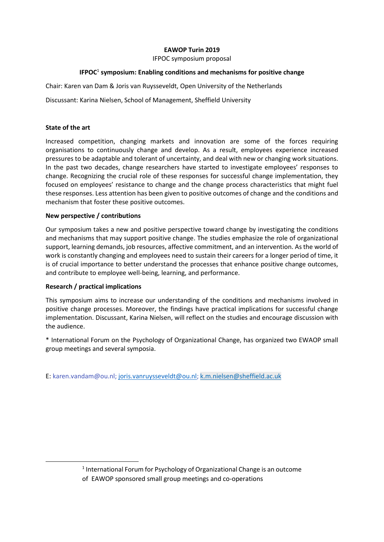# **EAWOP Turin 2019**

IFPOC symposium proposal

# **IFPOC**<sup>1</sup> **symposium: Enabling conditions and mechanisms for positive change**

Chair: Karen van Dam & Joris van Ruysseveldt, Open University of the Netherlands

Discussant: Karina Nielsen, School of Management, Sheffield University

## **State of the art**

Increased competition, changing markets and innovation are some of the forces requiring organisations to continuously change and develop. As a result, employees experience increased pressures to be adaptable and tolerant of uncertainty, and deal with new or changing work situations. In the past two decades, change researchers have started to investigate employees' responses to change. Recognizing the crucial role of these responses for successful change implementation, they focused on employees' resistance to change and the change process characteristics that might fuel these responses. Less attention has been given to positive outcomes of change and the conditions and mechanism that foster these positive outcomes.

## **New perspective / contributions**

Our symposium takes a new and positive perspective toward change by investigating the conditions and mechanisms that may support positive change. The studies emphasize the role of organizational support, learning demands, job resources, affective commitment, and an intervention. As the world of work is constantly changing and employees need to sustain their careers for a longer period of time, it is of crucial importance to better understand the processes that enhance positive change outcomes, and contribute to employee well-being, learning, and performance.

## **Research / practical implications**

1

This symposium aims to increase our understanding of the conditions and mechanisms involved in positive change processes. Moreover, the findings have practical implications for successful change implementation. Discussant, Karina Nielsen, will reflect on the studies and encourage discussion with the audience.

\* International Forum on the Psychology of Organizational Change, has organized two EWAOP small group meetings and several symposia.

E: karen.vandam@ou.nl[; joris.vanruysseveldt@ou.nl;](mailto:joris.vanruysseveldt@ou.nl) [k.m.nielsen@sheffield.ac.uk](mailto:k.m.nielsen@sheffield.ac.uk)

<sup>&</sup>lt;sup>1</sup> International Forum for Psychology of Organizational Change is an outcome of EAWOP sponsored small group meetings and co-operations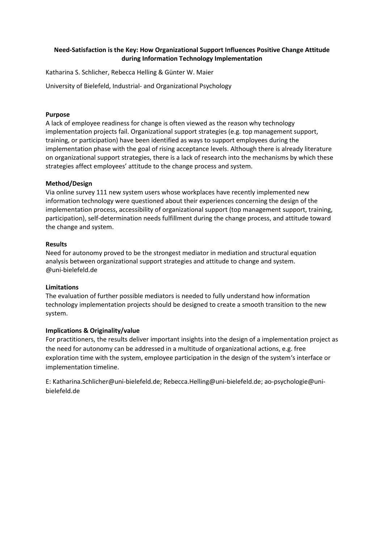# **Need-Satisfaction is the Key: How Organizational Support Influences Positive Change Attitude during Information Technology Implementation**

Katharina S. Schlicher, Rebecca Helling & Günter W. Maier

University of Bielefeld, Industrial- and Organizational Psychology

## **Purpose**

A lack of employee readiness for change is often viewed as the reason why technology implementation projects fail. Organizational support strategies (e.g. top management support, training, or participation) have been identified as ways to support employees during the implementation phase with the goal of rising acceptance levels. Although there is already literature on organizational support strategies, there is a lack of research into the mechanisms by which these strategies affect employees' attitude to the change process and system.

## **Method/Design**

Via online survey 111 new system users whose workplaces have recently implemented new information technology were questioned about their experiences concerning the design of the implementation process, accessibility of organizational support (top management support, training, participation), self-determination needs fulfillment during the change process, and attitude toward the change and system.

## **Results**

Need for autonomy proved to be the strongest mediator in mediation and structural equation analysis between organizational support strategies and attitude to change and system. @uni-bielefeld.de

## **Limitations**

The evaluation of further possible mediators is needed to fully understand how information technology implementation projects should be designed to create a smooth transition to the new system.

# **Implications & Originality/value**

For practitioners, the results deliver important insights into the design of a implementation project as the need for autonomy can be addressed in a multitude of organizational actions, e.g. free exploration time with the system, employee participation in the design of the system's interface or implementation timeline.

E: Katharina.Schlicher@uni-bielefeld.de; Rebecca.Helling@uni-bielefeld.de; ao-psychologie@unibielefeld.de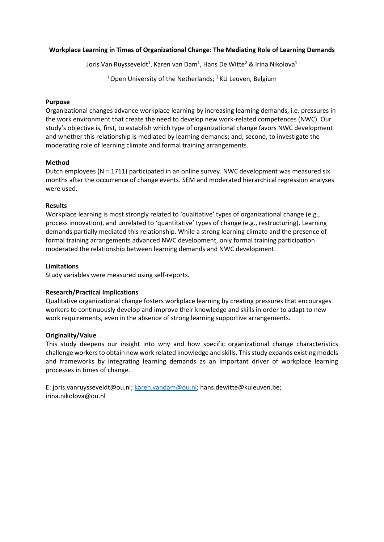## **Workplace Learning in Times of Organizational Change: The Mediating Role of Learning Demands**

Joris Van Ruysseveldt<sup>1</sup>, Karen van Dam<sup>1</sup>, Hans De Witte<sup>2</sup> & Irina Nikolova<sup>1</sup>

<sup>1</sup> Open University of the Netherlands; <sup>2</sup> KU Leuven, Belgium

## **Purpose**

Organizational changes advance workplace learning by increasing learning demands, i.e. pressures in the work environment that create the need to develop new work-related competences (NWC). Our study's objective is, first, to establish which type of organizational change favors NWC development and whether this relationship is mediated by learning demands; and, second, to investigate the moderating role of learning climate and formal training arrangements.

## **Method**

Dutch employees (N = 1711) participated in an online survey. NWC development was measured six months after the occurrence of change events. SEM and moderated hierarchical regression analyses were used.

## **Results**

Workplace learning is most strongly related to 'qualitative' types of organizational change (e.g., process innovation), and unrelated to 'quantitative' types of change (e.g., restructuring). Learning demands partially mediated this relationship. While a strong learning climate and the presence of formal training arrangements advanced NWC development, only formal training participation moderated the relationship between learning demands and NWC development.

## **Limitations**

Study variables were measured using self-reports.

# **Research/Practical Implications**

Qualitative organizational change fosters workplace learning by creating pressures that encourages workers to continuously develop and improve their knowledge and skills in order to adapt to new work requirements, even in the absence of strong learning supportive arrangements.

## **Originality/Value**

This study deepens our insight into why and how specific organizational change characteristics challenge workers to obtain new work related knowledge and skills. This study expands existing models and frameworks by integrating learning demands as an important driver of workplace learning processes in times of change.

E: joris.vanruysseveldt@ou.nl[; karen.vandam@ou.nl;](mailto:karen.vandam@ou.nl) hans.dewitte@kuleuven.be; irina.nikolova@ou.nl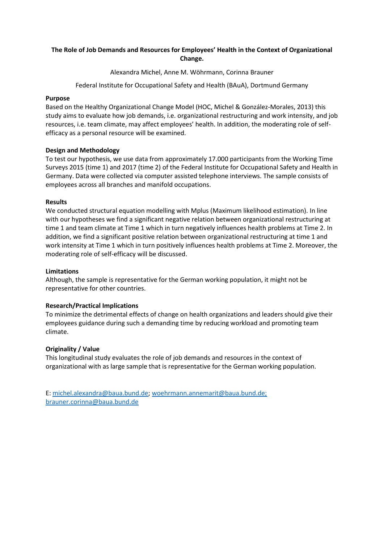# **The Role of Job Demands and Resources for Employees' Health in the Context of Organizational Change.**

Alexandra Michel, Anne M. Wöhrmann, Corinna Brauner

Federal Institute for Occupational Safety and Health (BAuA), Dortmund Germany

## **Purpose**

Based on the Healthy Organizational Change Model (HOC, Michel & González-Morales, 2013) this study aims to evaluate how job demands, i.e. organizational restructuring and work intensity, and job resources, i.e. team climate, may affect employees' health. In addition, the moderating role of selfefficacy as a personal resource will be examined.

## **Design and Methodology**

To test our hypothesis, we use data from approximately 17.000 participants from the Working Time Surveys 2015 (time 1) and 2017 (time 2) of the Federal Institute for Occupational Safety and Health in Germany. Data were collected via computer assisted telephone interviews. The sample consists of employees across all branches and manifold occupations.

## **Results**

We conducted structural equation modelling with Mplus (Maximum likelihood estimation). In line with our hypotheses we find a significant negative relation between organizational restructuring at time 1 and team climate at Time 1 which in turn negatively influences health problems at Time 2. In addition, we find a significant positive relation between organizational restructuring at time 1 and work intensity at Time 1 which in turn positively influences health problems at Time 2. Moreover, the moderating role of self-efficacy will be discussed.

## **Limitations**

Although, the sample is representative for the German working population, it might not be representative for other countries.

## **Research/Practical Implications**

To minimize the detrimental effects of change on health organizations and leaders should give their employees guidance during such a demanding time by reducing workload and promoting team climate.

## **Originality / Value**

This longitudinal study evaluates the role of job demands and resources in the context of organizational with as large sample that is representative for the German working population.

E: [michel.alexandra@baua.bund.de;](mailto:michel.alexandra@baua.bund.de) [woehrmann.annemarit@baua.bund.de;](mailto:woehrmann.annemarit@baua.bund.de) [brauner.corinna@baua.bund.de](mailto:brauner.corinna@baua.bund.de)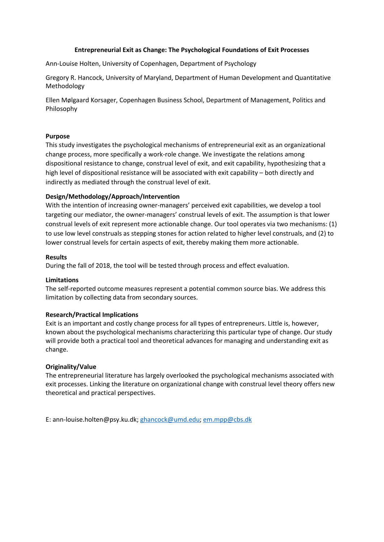#### **Entrepreneurial Exit as Change: The Psychological Foundations of Exit Processes**

Ann-Louise Holten, University of Copenhagen, Department of Psychology

Gregory R. Hancock, University of Maryland, Department of Human Development and Quantitative Methodology

Ellen Mølgaard Korsager, Copenhagen Business School, Department of Management, Politics and Philosophy

#### **Purpose**

This study investigates the psychological mechanisms of entrepreneurial exit as an organizational change process, more specifically a work-role change. We investigate the relations among dispositional resistance to change, construal level of exit, and exit capability, hypothesizing that a high level of dispositional resistance will be associated with exit capability – both directly and indirectly as mediated through the construal level of exit.

## **Design/Methodology/Approach/Intervention**

With the intention of increasing owner-managers' perceived exit capabilities, we develop a tool targeting our mediator, the owner-managers' construal levels of exit. The assumption is that lower construal levels of exit represent more actionable change. Our tool operates via two mechanisms: (1) to use low level construals as stepping stones for action related to higher level construals, and (2) to lower construal levels for certain aspects of exit, thereby making them more actionable.

#### **Results**

During the fall of 2018, the tool will be tested through process and effect evaluation.

#### **Limitations**

The self-reported outcome measures represent a potential common source bias. We address this limitation by collecting data from secondary sources.

#### **Research/Practical Implications**

Exit is an important and costly change process for all types of entrepreneurs. Little is, however, known about the psychological mechanisms characterizing this particular type of change. Our study will provide both a practical tool and theoretical advances for managing and understanding exit as change.

## **Originality/Value**

The entrepreneurial literature has largely overlooked the psychological mechanisms associated with exit processes. Linking the literature on organizational change with construal level theory offers new theoretical and practical perspectives.

E: ann-louise.holten@psy.ku.dk; [ghancock@umd.edu;](mailto:ghancock@umd.edu) [em.mpp@cbs.dk](mailto:em.mpp@cbs.dk)